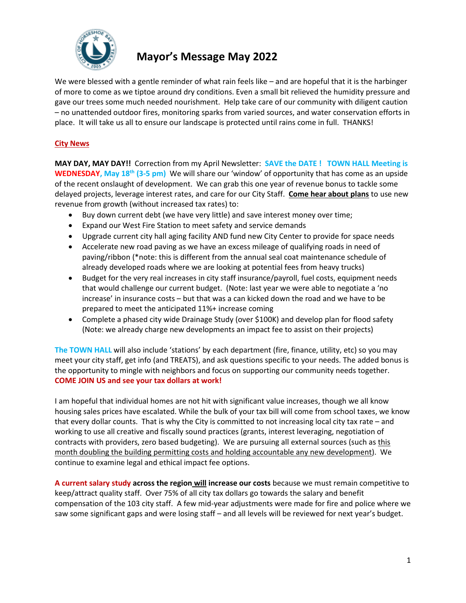

# **Mayor's Message May 2022**

We were blessed with a gentle reminder of what rain feels like – and are hopeful that it is the harbinger of more to come as we tiptoe around dry conditions. Even a small bit relieved the humidity pressure and gave our trees some much needed nourishment. Help take care of our community with diligent caution – no unattended outdoor fires, monitoring sparks from varied sources, and water conservation efforts in place. It will take us all to ensure our landscape is protected until rains come in full. THANKS!

# **City News**

**MAY DAY, MAY DAY!!** Correction from my April Newsletter: **SAVE the DATE ! TOWN HALL Meeting is WEDNESDAY, May 18th (3-5 pm)** We will share our 'window' of opportunity that has come as an upside of the recent onslaught of development. We can grab this one year of revenue bonus to tackle some delayed projects, leverage interest rates, and care for our City Staff. **Come hear about plans** to use new revenue from growth (without increased tax rates) to:

- Buy down current debt (we have very little) and save interest money over time;
- Expand our West Fire Station to meet safety and service demands
- Upgrade current city hall aging facility AND fund new City Center to provide for space needs
- Accelerate new road paving as we have an excess mileage of qualifying roads in need of paving/ribbon (\*note: this is different from the annual seal coat maintenance schedule of already developed roads where we are looking at potential fees from heavy trucks)
- Budget for the very real increases in city staff insurance/payroll, fuel costs, equipment needs that would challenge our current budget. (Note: last year we were able to negotiate a 'no increase' in insurance costs – but that was a can kicked down the road and we have to be prepared to meet the anticipated 11%+ increase coming
- Complete a phased city wide Drainage Study (over \$100K) and develop plan for flood safety (Note: we already charge new developments an impact fee to assist on their projects)

**The TOWN HALL** will also include 'stations' by each department (fire, finance, utility, etc) so you may meet your city staff, get info (and TREATS), and ask questions specific to your needs. The added bonus is the opportunity to mingle with neighbors and focus on supporting our community needs together. **COME JOIN US and see your tax dollars at work!**

I am hopeful that individual homes are not hit with significant value increases, though we all know housing sales prices have escalated. While the bulk of your tax bill will come from school taxes, we know that every dollar counts. That is why the City is committed to not increasing local city tax rate – and working to use all creative and fiscally sound practices (grants, interest leveraging, negotiation of contracts with providers, zero based budgeting). We are pursuing all external sources (such as this month doubling the building permitting costs and holding accountable any new development). We continue to examine legal and ethical impact fee options.

**A current salary study across the region will increase our costs** because we must remain competitive to keep/attract quality staff. Over 75% of all city tax dollars go towards the salary and benefit compensation of the 103 city staff. A few mid-year adjustments were made for fire and police where we saw some significant gaps and were losing staff – and all levels will be reviewed for next year's budget.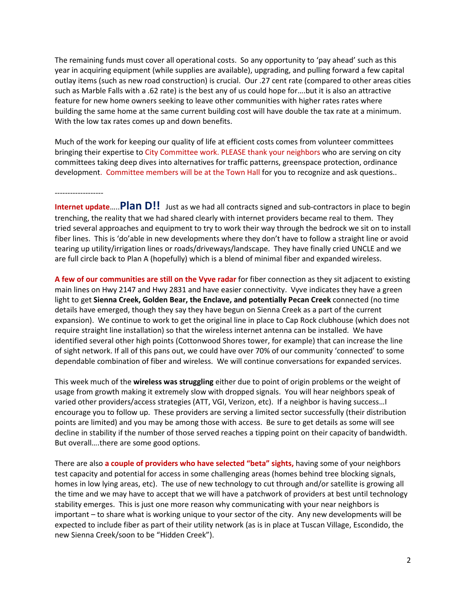The remaining funds must cover all operational costs. So any opportunity to 'pay ahead' such as this year in acquiring equipment (while supplies are available), upgrading, and pulling forward a few capital outlay items (such as new road construction) is crucial. Our .27 cent rate (compared to other areas cities such as Marble Falls with a .62 rate) is the best any of us could hope for….but it is also an attractive feature for new home owners seeking to leave other communities with higher rates rates where building the same home at the same current building cost will have double the tax rate at a minimum. With the low tax rates comes up and down benefits.

Much of the work for keeping our quality of life at efficient costs comes from volunteer committees bringing their expertise to City Committee work. PLEASE thank your neighbors who are serving on city committees taking deep dives into alternatives for traffic patterns, greenspace protection, ordinance development. Committee members will be at the Town Hall for you to recognize and ask questions..

## -------------------

**Internet update**…..**Plan D!!** Just as we had all contracts signed and sub-contractors in place to begin trenching, the reality that we had shared clearly with internet providers became real to them. They tried several approaches and equipment to try to work their way through the bedrock we sit on to install fiber lines. This is 'do'able in new developments where they don't have to follow a straight line or avoid tearing up utility/irrigation lines or roads/driveways/landscape. They have finally cried UNCLE and we are full circle back to Plan A (hopefully) which is a blend of minimal fiber and expanded wireless.

**A few of our communities are still on the Vyve radar** for fiber connection as they sit adjacent to existing main lines on Hwy 2147 and Hwy 2831 and have easier connectivity. Vyve indicates they have a green light to get **Sienna Creek, Golden Bear, the Enclave, and potentially Pecan Creek** connected (no time details have emerged, though they say they have begun on Sienna Creek as a part of the current expansion). We continue to work to get the original line in place to Cap Rock clubhouse (which does not require straight line installation) so that the wireless internet antenna can be installed. We have identified several other high points (Cottonwood Shores tower, for example) that can increase the line of sight network. If all of this pans out, we could have over 70% of our community 'connected' to some dependable combination of fiber and wireless. We will continue conversations for expanded services.

This week much of the **wireless was struggling** either due to point of origin problems or the weight of usage from growth making it extremely slow with dropped signals. You will hear neighbors speak of varied other providers/access strategies (ATT, VGI, Verizon, etc). If a neighbor is having success…I encourage you to follow up. These providers are serving a limited sector successfully (their distribution points are limited) and you may be among those with access. Be sure to get details as some will see decline in stability if the number of those served reaches a tipping point on their capacity of bandwidth. But overall….there are some good options.

There are also **a couple of providers who have selected "beta" sights,** having some of your neighbors test capacity and potential for access in some challenging areas (homes behind tree blocking signals, homes in low lying areas, etc). The use of new technology to cut through and/or satellite is growing all the time and we may have to accept that we will have a patchwork of providers at best until technology stability emerges. This is just one more reason why communicating with your near neighbors is important – to share what is working unique to your sector of the city. Any new developments will be expected to include fiber as part of their utility network (as is in place at Tuscan Village, Escondido, the new Sienna Creek/soon to be "Hidden Creek").